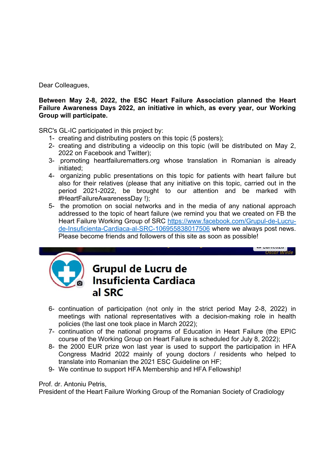Dear Colleagues,

**Between May 2-8, 2022, the ESC Heart Failure Association planned the Heart Failure Awareness Days 2022, an initiative in which, as every year, our Working Group will participate.**

SRC's GL-IC participated in this project by:

- 1- creating and distributing posters on this topic (5 posters);
- 2- creating and distributing a videoclip on this topic (will be distributed on May 2, 2022 on Facebook and Twitter);
- 3- promoting heartfailurematters.org whose translation in Romanian is already initiated;
- 4- organizing public presentations on this topic for patients with heart failure but also for their relatives (please that any initiative on this topic, carried out in the period 2021-2022, be brought to our attention and be marked with #HeartFailureAwarenessDay !);
- 5- the promotion on social networks and in the media of any national approach addressed to the topic of heart failure (we remind you that we created on FB the Heart Failure Working Group of SRC https://www.facebook.com/Grupul-de-Lucrude-Insuficienta-Cardiaca-al-SRC-106955838017506 where we always post news. Please become friends and followers of this site as soon as possible!

**Oscar Wi** 



## **Grupul de Lucru de Insuficienta Cardiaca** al SRC

- 6- continuation of participation (not only in the strict period May 2-8, 2022) in meetings with national representatives with a decision-making role in health policies (the last one took place in March 2022);
- 7- continuation of the national programs of Education in Heart Failure (the EPIC course of the Working Group on Heart Failure is scheduled for July 8, 2022);
- 8- the 2000 EUR prize won last year is used to support the participation in HFA Congress Madrid 2022 mainly of young doctors / residents who helped to translate into Romanian the 2021 ESC Guideline on HF;
- 9- We continue to support HFA Membership and HFA Fellowship!

## Prof. dr. Antoniu Petris,

President of the Heart Failure Working Group of the Romanian Society of Cradiology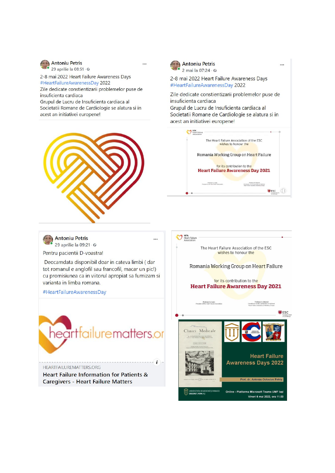

29 aprilie la 08:51 · © 2-8 mai 2022 Heart Failure Awareness Days

#HeartFailureAwarenessDay 2022 Zile dedicate constientizarii problemelor puse de insuficienta cardiaca

Grupul de Lucru de Insuficienta cardiaca al Societatii Romane de Cardiologie se alatura si in acest an initiativei europene!



 $\mathbf{a}$ 

2 mai la 07:24 · ©

2-8 mai 2022 Heart Failure Awareness Days #HeartFailureAwarenessDay 2022

Zile dedicate constientizarii problemelor puse de insuficienta cardiaca Grupul de Lucru de Insuficienta cardiaca al Societatii Romane de Cardiologie se alatura si in acest an initiativei europene!



 $\ddot{\phantom{a}}$